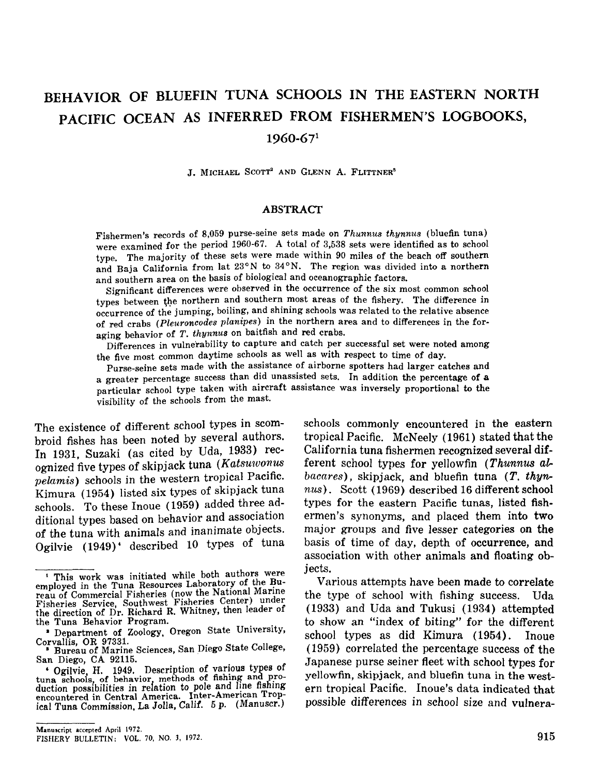# BEHAVIOR OF BLUEFIN TUNA SCHOOLS IN THE EASTERN NORTH PACIFIC OCEAN AS INFERRED FROM FISHERMEN'S LOGBOOKS,

#### 1960-671

J. MICHAEL SCOTT' AND GLENN A. FLITTNER'

#### **ABSTRACT**

Fishermen's records of 8,059 purse-seine sets made on *Thunnus thynnus* (bluefin tuna) were examined for the period 1960-67. A total of 3,538 sets were identified as to school type. The majority of these sets were made within 90 miles of the beach off southern and Baja California from lat  $23^{\circ}$ N to  $34^{\circ}$ N. The region was divided into a northern and southern area on the basis of biological and oceanographic factors.

Significant differences were observed in the occurrence of the six most common school types between the northern and southern most areas of the fishery. The difference in occurrence of the jumping, boiling, and shining schools was related to the relative absence of red crabs *(Pleuroncodes planipes)* in the northern area and to differences in the foraging behavior of *T. thynnu8* on baitfish and red crabs.

Differences in vulnerability to capture and catch per successful set were noted among the five most common daytime schools as well as with respect to time of day.

Purse-seine sets made with the assistance of airborne spotters had larger catches and a greater percentage success than did unassisted sets. In addition the percentage of a particular school type taken with aircraft assistance was inversely proportional to the visibility of the schools from the mast.

The existence of different school types in scombroid fishes has been noted by several authors. In 1931, Suzaki (as cited by Uda, 1933) recognized five types of skipjack tuna (Katsuwonus pelamis) schools in the western tropical Pacific. Kimura (1954) listed six types of skipjack tuna schools. To these Inoue (1959) added three additional types based on behavior and association of the tuna with animals and inanimate objects. Ogilvie (1949)' described 10 types of tuna

schools commonly encountered in the eastern tropical Pacific. McNeely (1961) stated that the California tuna fishermen recognized several different school types for yellowfin (Thunnus  $al$  $bacares$ ), skipjack, and bluefin tuna (T. thynnus). Scott (1969) described 16 different school types for the eastern Pacific tunas, listed fishermen's synonyms, and placed them into two major groups and five lesser categories on the basis of time of day, depth of occurrence, and association with other animals and floating objects.

Various attempts have been made to correlate the type of school with fishing success. Uda (1933) and Uda and Tukusi (1934) attempted to show an "index of biting" for the different school types as did Kimura (1954). Inoue (1959) correlated the percentage success of the Japanese purse seiner fleet with school types for yellowfin, skipjack, and bluefin tuna in the western tropical Pacific. Inoue's data indicated that possible differences in school size and vulnera-

<sup>&</sup>lt;sup>1</sup> This work was initiated while both authors were employed in the Tuna Resources Laboratory of the Bureau of Commercial Fisheries (now the National Marine Fisheries Service, Southwest Fisheries Center) under the direction of Dr. Richard R. Whitney, then leader of the Tuna Behavior Program.

<sup>•</sup> Department of Zoology, Oregon State University,

Corvallis, OR 97331. • Bureau of Marine Sciences, San Diego State College, San Diego, CA 92115.

<sup>•</sup> Ogilvie H. 1949. Description of various types of tuna schoois of behavior methods of fishing ana production possibilities in relation to pole and line fishing encountered in Central America. Inter-American Tropical Tuna Commission, La Jolla, Calif. 5 p. (Manuscr.)

FISHERY BULLETIN: VOL. 70. NO.3. 1972.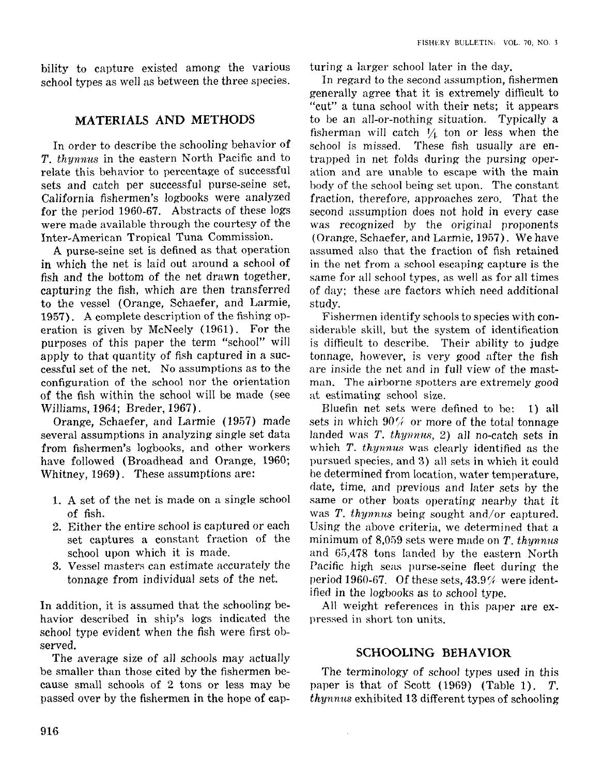bility to capture existed among the various school types as well as between the three species.

## **MATERIALS AND METHODS**

In order to describe the schooling behavior of *T. thynnus* in the eastern North Pacific and to relate this behavior to percentage of successful sets and catch per successful purse-seine set, California fishermen's logbooks were analyzed for the period 1960-67. Abstracts of these logs were made available through the courtesy of the Inter-American Tropical Tuna Commission.

A purse-seine set is defined as that operation in which the net is laid out around a school of fish and the bottom of the net drawn together, capturing the fish, which are then transferred to the vessel (Orange, Schaefer, and Larmie, 1957). A complete description of the fishing operation is given by McNeely (1961). For the purposes of this paper the term "school" will apply to that quantity of fish captured in a successful set of the net. No assumptions as to the configuration of the school nor the orientation of the fish within the school will be made (see Williams, 1964; Breder, 1967).

Orange, Schaefer, and Larmie (1957) made several assumptions in analyzing single set data from fishermen's logbooks, and other workers have followed (Broadhead and Orange, 1960; Whitney, 1969). These assumptions are:

- 1. A set of the net is made on a single school of fish.
- 2. Either the entire school is captured or each set captures a constant fraction of the school upon which it is made.
- 3. Vessel masters can estimate accurately the tonnage from individual sets of the net.

In addition, it is assumed that the schooling behavior described in ship's logs indicated the school type evident when the fish were first observed.

The average size of all schools may actually be smaller than those cited by the fishermen because small schools of 2 tons or less may be passed over by the fishermen in the hope of capturing a larger school later in the day.

In regard to the second assumption, fishermen generally agree that it is extremely difficult to "cut" a tuna school with their nets; it appears to be an all-or-nothing situation. Typically a fisherman will catch  $\frac{1}{4}$  ton or less when the school is missed. These fish usually are entrapped in net folds during the pursing operation and are unable to escape with the main body of the school being set upon. The constant fraction, therefore, approaches zero. That the second assumption does not hold in every case was recognized by the original proponents (Orange, Schaefer, and Larmie, 1957). We have assumed also that the fraction of fish retained in the net from a school escaping capture is the same for all school types, as well as for all times of day; these are factors which need additional study.

Fishermen identify schools to species with considerable skill, but the system of identification is difficult to describe. Their ability to judge tonnage, however, is very good after the fish are inside the net and in full view of the mastman. The airborne spotters are extremely good at estimating school size.

Bluefin net sets were defined to be: 1) all sets in which  $90\%$  or more of the total tonnage landed was T. *thynnus*, 2) all no-catch sets in which *T. thynnus* was clearly identified as the pursued species, and 3) all sets in which it could be determined from location, water temperature, date, time, and previous and later sets by the same or other boats operating nearby that it was *T. thynnus* being sought and/or captured. Using the above criteria, we determined that a minimum of 8,059 sets were made on *T*. *thynnus* and 6G,478 tons landed by the eastern North Pacific high seas purse-seine fleet during the period 1960-67. Of these sets,  $43.9\%$  were identified in the logbooks as to school type.

All weight references in this paper are expressed in short ton units.

## **SCHOOLING BEHAVIOR**

The terminology of school types used in this paper is that of Scott (1969) (Table 1). *T. thynnus* exhibited 13 different types of schooling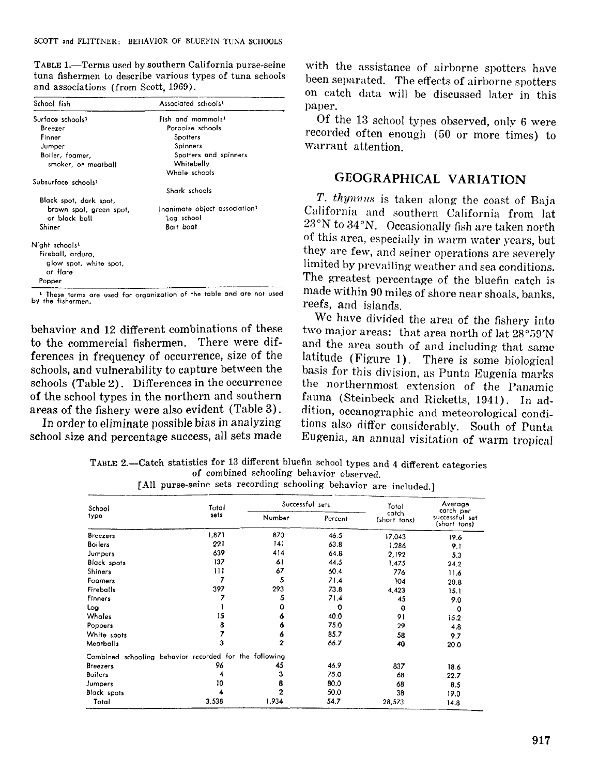TABLE 1.-Terms used by southern California purse-seine tuna fishermen to describe various types of tuna schools and associations (from Scott, 1969).

| School fish                     | Associated schools <sup>1</sup>           |
|---------------------------------|-------------------------------------------|
| Surface schools <sup>1</sup>    | Fish and mammals <sup>1</sup>             |
| Breezer                         | Porpoise schools                          |
| Finner                          | Spotters                                  |
| Jumper                          | Spinners                                  |
| Boiler, foamer,                 | Spotters and spinners                     |
| smoker, or meatball             | Whitebelly                                |
|                                 | Whale schools                             |
| Subsurface schools <sup>1</sup> |                                           |
|                                 | Shark schools                             |
| Black spot, dark spot,          |                                           |
| brown spot, green spot,         | Inanimate object association <sup>1</sup> |
| or black ball                   | Log school                                |
| Shiner                          | Bait boat                                 |
| Night schools <sup>1</sup>      |                                           |
| Fireball, ardura,               |                                           |
| glow spot, white spot,          |                                           |
| or flare                        |                                           |
| Popper                          |                                           |

<sup>1</sup> These terms are used for organization of the table and are not used by the fishermen.

behavior and 12 different combinations of these to the commercial fishermen. There were differences in frequency of occurrence, size of the schools, and vulnerability to capture between the schools (Table 2). Differences in the occurrence of the school types in the northern and southern areas of the fishery were also evident (Table 3) .

In order to eliminate possible bias in analyzing school size and percentage success, all sets made with the assistance of airborne spotters have been separated. The effects of airborne spotters on catch data will be discussed later in this paper.

Of the 13 school types observed, only 6 were recorded often enough (50 or more times) to warrant attention.

# GEOGRAPHICAL VARIATION

T. thynnus is taken along the coast of Baja California and southern California from lat 23°N to 34°N. Occasionally fish are taken north of this area, especially in warm water years, but they are few, and seiner operations are severely limited by prevailing weather and sea conditions. The greatest percentage of the bluefin catch is made within 90 miles of shore near shoals, banks, reefs, and islands.

We have divided the area of the fishery into two major areas: that area north of lat 28°59'N and the area south of and including that same latitude (Figure 1). There is some biological basis for this division, as Punta Eugenia marks the northernmost extension of the Panamic fauna (Steinbeck and Ricketts, 1941). In addition, oceanographic and meteorological conditions also differ considerably. South of Punta Eugenia, an annual visitation of warm tropical

TAHLE 2.-Cateh statistics for 13 different bluefin school types and 4 different categories of combined schooling behavior observed.

| School                                                 | Total |                         | Successful sets | Total                 | Average<br>catch per           |
|--------------------------------------------------------|-------|-------------------------|-----------------|-----------------------|--------------------------------|
| type                                                   | sets  | Number                  | Percent         | catch<br>(short tons) | successful set<br>(short tons) |
| <b>Breezers</b>                                        | 1,871 | 870                     | 46.5            | 17,043                | 19.6                           |
| <b>Boilers</b>                                         | 221   | 141                     | 63.8            | 1,286                 | 9.1                            |
| Jumpers                                                | 639   | 414                     | 64.8            | 2.192                 | 5.3                            |
| <b>Black</b> spots                                     | 137   | 61                      | 44.5            | 1,475                 | 24.2                           |
| Shiners                                                | 111   | 67                      | 60.4            | 776                   | 11.6                           |
| Foamers                                                |       | 5                       | 71.4            | 104                   | 20.8                           |
| Fireballs                                              | 397   | 293                     | 73.8            | 4,423                 | 15.1                           |
| Finners                                                |       | 5                       | 71.4            | 45                    | 9.0                            |
| Log                                                    |       | 0                       | o               | $\mathbf 0$           | $\Omega$                       |
| Whales                                                 | 15    | 6                       | 40.0            | 91                    | 15.2                           |
| Poppers                                                |       | 6                       | 75.0            | 29                    | 4.8                            |
| White spots                                            |       | 6                       | 85.7            | 58                    | 9.7                            |
| Meatballs                                              | з     | $\overline{\mathbf{2}}$ | 66.7            | 40                    | 20.0                           |
| Combined schooling behavior recorded for the following |       |                         |                 |                       |                                |
| <b>Breezers</b>                                        | 96    | 45                      | 46.9            | 837                   | 18.6                           |
| <b>Boilers</b>                                         |       | 3                       | 75.0            | 68                    | 22.7                           |
| Jumpers                                                | 10    | 8                       | 80.0            | 68                    | 8.5                            |
| <b>Black spots</b>                                     |       | $\mathbf 2$             | 50.0            | 38                    | 19.0                           |
| Total                                                  | 3,538 | 1,934                   | 54.7            | 28,573                | 14.8                           |

[All purse-seine sets recording schooling behavior are included.]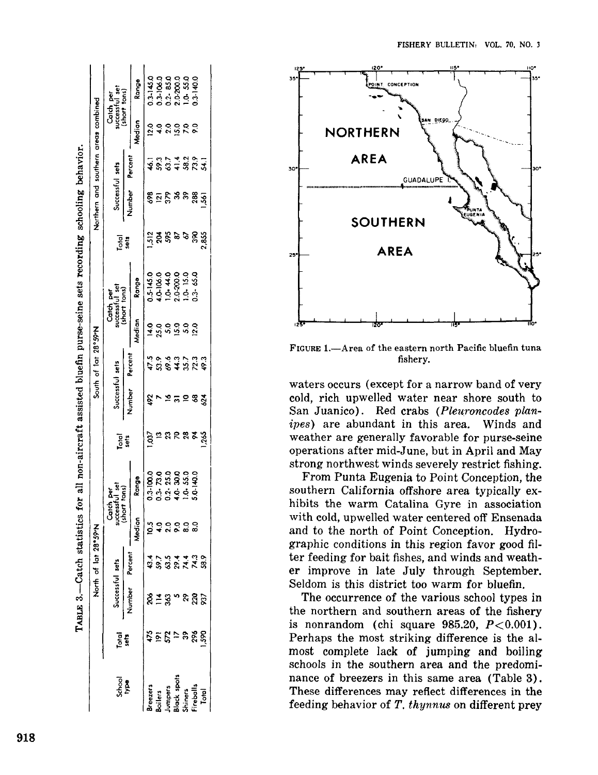|                                                                                |                |                      | North of lat 28°59'N |                     |                                                                              |               |                 | South of lat 28°59'N |               |                                                                            |               | Northern and southern areas combined |                                     |                 |                                                              |
|--------------------------------------------------------------------------------|----------------|----------------------|----------------------|---------------------|------------------------------------------------------------------------------|---------------|-----------------|----------------------|---------------|----------------------------------------------------------------------------|---------------|--------------------------------------|-------------------------------------|-----------------|--------------------------------------------------------------|
| <b>Boqi</b><br>School                                                          | Total<br>Sets  | $\frac{9}{2}$        | cessful sets         |                     | Catch per<br>successful set<br>(short tons)                                  | Tatal<br>sets | Successful sets |                      |               | Carch per<br>successful set<br>(short tons)                                | Total<br>Sets | Successful sets                      |                                     |                 | Catch per<br>successful set<br>(short tons)                  |
|                                                                                |                | ğ                    | ercen                |                     |                                                                              |               | Number          | Percent              |               |                                                                            |               | Number                               | Percent                             |                 |                                                              |
|                                                                                |                |                      |                      | Median              | Range                                                                        |               |                 |                      | Median        | egups                                                                      |               |                                      |                                     | Median          | Range                                                        |
|                                                                                |                |                      |                      |                     | 03-100.0<br>0.3- 23.03.03<br>0.3- 3.03.03<br>0.4- 4- 4- 4- 5.0-<br>5.0- 5.0- |               | 492             |                      | $\frac{1}{4}$ | 0.5-145.0<br>4.0-106.0<br>1.0-200.0<br>1.0-200.0<br>1.0-3-65.0<br>0.3-65.0 |               |                                      |                                     |                 |                                                              |
|                                                                                | いりのじ           |                      |                      | $\frac{5}{2}$       |                                                                              | ಕ್ಷ ಇ         |                 |                      | 25.0          |                                                                            |               |                                      |                                     |                 |                                                              |
|                                                                                |                |                      |                      |                     |                                                                              | ຊ             |                 |                      |               |                                                                            |               |                                      |                                     |                 |                                                              |
| Breezers<br>Boilers<br>Jumpers<br>Mack spots<br>Miners<br>Treballs<br>Treballs |                | 8្គ ≛ ឌូ ។ ឝ ឨ ៑ ៑ ៑ | 1591198<br>888218    | <b>0000</b><br>2000 |                                                                              |               |                 | いっといいにはない こうしょう      | 15.0<br>12.0  |                                                                            | ដុត្តនិទន់នី  | ន្ទីក្នុងទន្លង្គ                     | - តូង ។ តូង<br><b>ទំនិ</b> ទ្ធិ និង | 232222<br>23222 | 0.3-145.0<br>0.3-106.0<br>0.2-85.0<br>0.3-140.0<br>1.3-140.0 |
|                                                                                |                |                      |                      |                     |                                                                              |               |                 |                      |               |                                                                            |               |                                      |                                     |                 |                                                              |
|                                                                                | <u>ನಿ ಜಿ ಜ</u> |                      |                      |                     |                                                                              | ೧೩೩೫          | ភ $\approx 2.5$ |                      |               |                                                                            |               |                                      |                                     |                 |                                                              |
|                                                                                |                |                      |                      |                     |                                                                              |               |                 |                      |               |                                                                            |               |                                      |                                     |                 |                                                              |
|                                                                                |                |                      |                      |                     |                                                                              |               |                 |                      |               |                                                                            |               |                                      |                                     |                 |                                                              |

TABLE 3.—Catch statistics for all non-aircraft assisted bluefin purse-seine sets recording schooling behavior.





FIGURE 1.-Area of the eastern north Pacific bluefin tuna fishery.

waters occurs (except for a narrow band of very cold, rich upwelled water near shore south to San Juanico). Red crabs *(Pleuroncodes planipes)* are abundant in this area. Winds and weather are generally favorable for purse-seine operations after mid-June, but in April and May strong northwest winds severely restrict fishing.

From Punta Eugenia to Point Conception, the southern California offshore area typically exhibits the warm Catalina Gyre in association with cold, upwelled water centered off Ensenada and to the north of Point Conception. Hydrographic conditions in this region favor good filter feeding for bait fishes, and winds and weather improve in late July through September. Seldom is this district too warm for bluefin.

The occurrence of the various school types in the northern and southern areas of the fishery is nonrandom (chi square  $985.20$ ,  $P < 0.001$ ). Perhaps the most striking difference is the almost complete lack of jumping and boiling schools in the southern area and the predominance of breezers in this same area (Table 3). These differences may reflect differences in the feeding behavior of *T. thynnus* on different prey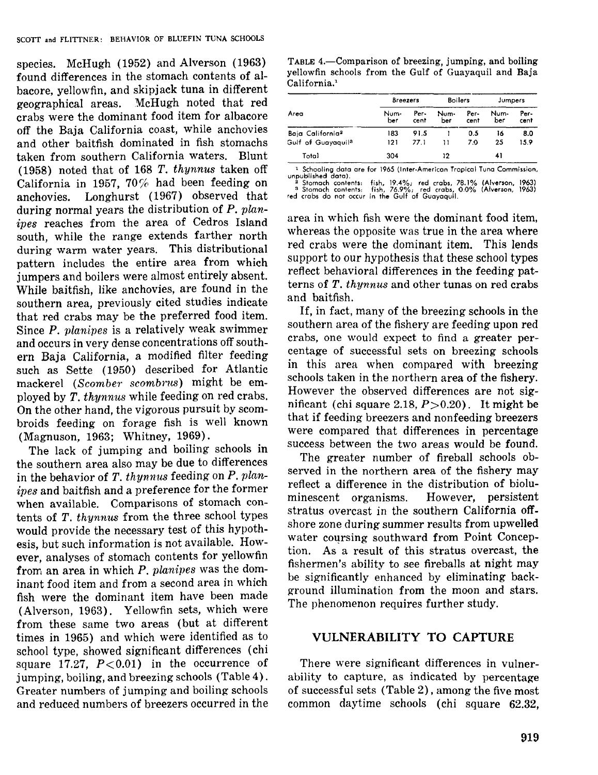species. McHugh (1952) and Alverson (1963) found differences in the stomach contents of albacore, yellowfin, and skipjack tuna in different geographical areas. McHugh noted that red crabs were the dominant food item for albacore off the Baja California coast, while anchovies and other baitfish dominated in fish stomachs taken from southern California waters. Blunt (1958) noted that of 168 T. thynnus taken off California in 1957, 70% had been feeding on anchovies. Longhurst (1967) observed that during normal years the distribution of  $P$ . planipes reaches from the area of Cedros Island south, while the range extends farther north during warm water years. This distributional pattern includes the entire area from which jumpers and boilers were almost entirely absent. While baitfish, like anchovies, are found in the southern area, previously cited studies indicate that red crabs may be the preferred food item. Since P. planipes is a relatively weak swimmer and occurs in very dense concentrations off southern Baja California, a modified filter feeding such as Sette (1950) described for Atlantic mackerel *(Scomber scombrus)* might be employed by T. thynnus while feeding on red crabs. On the other hand, the vigorous pursuit by scombroids feeding on forage fish is well known (Magnuson, 1963; Whitney, 1969).

The lack of jumping and boiling schools in the southern area also may be due to differences in the behavior of  $T$ . thynnus feeding on  $P$ . planipes and baitfish and a preference for the former when available. Comparisons of stomach contents of T. thynnus from the three school types would provide the necessary test of this hypothesis, but such information is not available. However, analyses of stomach contents for yellowfin from an area in which P. planipes was the dominant food item and from a second area in which fish were the dominant item have been made (Alverson, 1963). Yellowfin sets, which were from these same two areas (but at different times in 1965) and which were identified as to school type, showed significant differences (chi square 17.27,  $P < 0.01$ ) in the occurrence of jumping, boiling, and breezing schools (Table 4). Greater numbers of jumping and boiling schools and reduced numbers of breezers occurred in the

TABLE 4.—Comparison of breezing, jumping, and boiling yellowfin schools from the Gulf of Guayaquil and Baja California.'

|                                | <b>Breezers</b> |              | <b>Boilers</b> |              | Jumpers     |              |
|--------------------------------|-----------------|--------------|----------------|--------------|-------------|--------------|
| Area                           | Num-<br>ber     | Per-<br>cent | Num-<br>ber    | Per-<br>cent | Num-<br>ber | Per-<br>cent |
| Baia California <sup>2</sup>   | 183             | 91.5         |                | 0.5          | 16          | 8.0          |
| Gulf of Guayaquil <sup>3</sup> | 121             | 77 1         | 11             | 7.0          | 25          | 15.9         |
| Total                          | 304             |              | 12             |              | 41          |              |

un~u~I~~ho~~n~~t~t)~ **are for 1965 {Inter-American Tropical Tuna Commission,**

ally and contents: fish, 19.4%; red crabs, 78.1% (Alverson, 1963)<br>
<sup>2</sup> Stomach contents: fish, 76.9%; red crabs, 0.0% (Alverson, 1963)<br>
red crabs do not occur in the Gulf of Guayaquil.

area in which fish were the dominant food item, whereas the opposite was true in the area where red crabs were the dominant item. This lends support to our hypothesis that these school types reflect behavioral differences in the feeding patterns of T. thynnus and other tunas on red crabs and baitfish.

If, in fact, many of the breezing schools in the southern area of the fishery are feeding upon red crabs, one would expect to find a greater percentage of successful sets on breezing schools in this area when compared with breezing schools taken in the northern area of the fishery. However the observed differences are not significant (chi square 2.18,  $P > 0.20$ ). It might be that if feeding breezers and nonfeeding breezers were compared that differences in percentage success between the two areas would be found.

The greater number of fireball schools observed in the northern area of the fishery may reflect a difference in the distribution of bioluminescent organisms. However, persistent stratus overcast in the southern California offshore zone during summer results from upwelled water coursing southward from Point Conception. As a result of this stratus overcast, the fishermen's ability to see fireballs at night may be significantly enhanced by eliminating background illumination from the moon and stars. The phenomenon requires further study.

#### **VULNERABILITY TO CAPTURE**

There were significant differences in vulnerability to capture, as indicated by percentage of successful sets (Table 2), among the five most common daytime schools (chi square 62.32,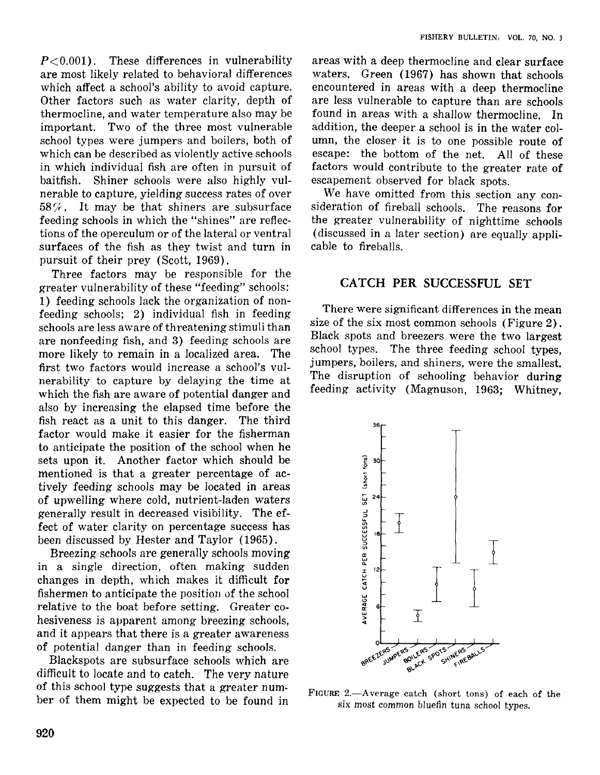$P<0.001$ ). These differences in vulnerability are most likely related to behavioral differences which affect a school's ability to avoid capture. Other factors such as water clarity, depth of thermocline, and water temperature also may be important. Two of the three most vulnerable school types were jumpers and boilers, both of which can be described as violently active schools in which individual fish are often in pursuit of baitfish. Shiner schools were also highly vulnerable to capture, yielding success rates of over *587r.* It may be that shiners are subsurface feeding schools in which the "shines" are reflections of the operculum or of the lateral or ventral surfaces of the fish as they twist and turn in pursuit of their prey (Scott, 1969).

Three factors may be responsible for the greater vulnerability of these "feeding" schools: 1) feeding schools lack the organization of nonfeeding schools; 2) individual fish in feeding schools are less aware of threatening stimuli than are nonfeeding fish, and 3) feeding schools are more likely to remain in a localized area. The first two factors would increase a school's vulnerability to capture by delaying the time at which the fish are aware of potential danger and also by increasing the elapsed time before the fish react as a unit to this danger. The third factor would make it easier for the fisherman to anticipate the position of the school when he sets upon it. Another factor which should be mentioned is that a greater percentage of actively feeding schools may be located in areas of upwelling where cold, nutrient-laden waters generally result in decreased visibility. The effect of water clarity on percentage success has been discussed by Hester and Taylor (1965).

Breezing schools are generally schools moving in a single direction, often making sudden changes in depth, which makes it difficult for fishermen to anticipate the position of the school relative to the boat before setting. Greater cohesiveness is apparent among breezing schools, and it appears that there is a greater awareness of potential danger than in feeding schools.

Blackspots are subsurface schools which are difficult to locate and to catch. The very nature of this school type suggests that a greater num· ber of them might be expected to be found in

areas with a deep thermocline and clear surface waters. Green (1967) has shown that schools encountered in areas with a deep thermocline are less vulnerable to capture than are schools found in areas with a shallow thermocline. In addition, the deeper a school is in the water column, the closer it is to one possible route of escape: the bottom of the net. All of these factors would contribute to the greater rate of escapement observed for black spots.

We have omitted from this section any consideration of fireball schools. The reasons for the greater vulnerability of nighttime schools (discussed in a later section) are equally applicable to fireballs.

#### CATCH PER SUCCESSFUL SET

There were significant differences in the mean size of the six most common schools (Figure 2). Black spots and breezers were the two largest school types. The three feeding school types, jumpers, boilers, and shiners, were the smallest. The disruption of schooling behavior during feeding activity (Magnuson, 1963; Whitney,



FIGURE 2.-Average catch (short tons) of each of the six most common bluefin tuna school types.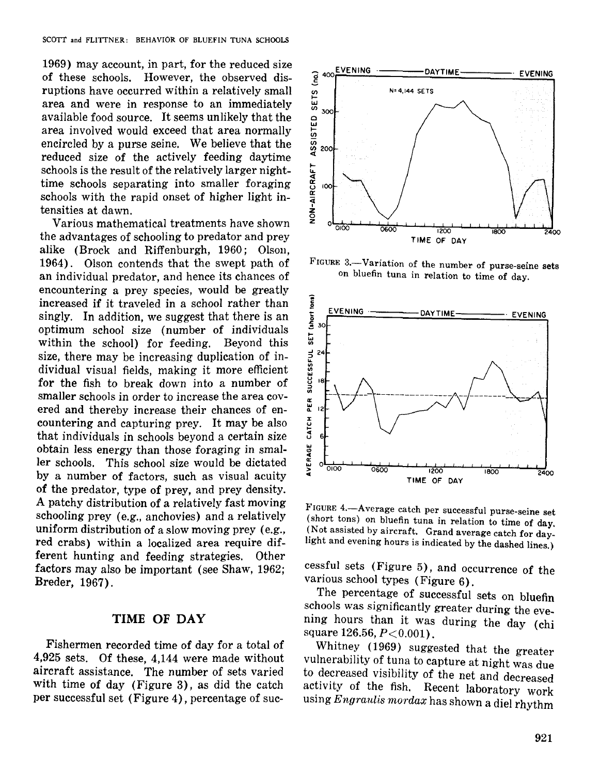1969) may account, in part, for the reduced size of these schools. However, the observed disruptions have occurred within a relatively small area and were in response to an immediately available food source. It seems unlikely that the area involved would exceed that area normally encircled by a purse seine. We believe that the reduced size of the actively feeding daytime schools is the result of the relatively larger nighttime schools separating into smaller foraging schools with the rapid onset of higher light intensities at dawn.

Various mathematical treatments have shown the advantages of schooling to predator and prey alike (Brock and Riffenburgh, 1960; Olson, 1964). Olson contends that the swept path of an individual predator, and hence its chances of encountering a prey species, would be greatly increased if it traveled in a school rather than singly. In addition, we suggest that there is an optimum school size (number of individuals within the school) for feeding. Beyond this size, there may be increasing duplication of individual visual fields, making it more efficient for the fish to break down into a number of smaller schools in order to increase the area covered and thereby increase their chances of encountering and capturing prey. It may be also that individuals in schools beyond a certain size obtain less energy than those foraging in smaller schools. This school size would be dictated by a number of factors, such as visual acuity of the predator, type of prey, and prey density. A patchy distribution of a relatively fast moving schooling prey (e.g., anchovies) and a relatively uniform distribution of a slow moving prey (e.g., red crabs) within a localized area require different hunting and feeding strategies. Other factors may also be important (see Shaw, 1962; Breder, 1967).

#### **TIME OF DAY**

Fishermen recorded time of day for a total of 4,925 sets. Of these, 4,144 were made without aircraft assistance. The number of sets varied with time of day (Figure 3), as did the catch per successful set (Figure 4), percentage of suc-



FIGURE 3.-Variation of the number of purse-seine sets on bluefin tuna in relation to time of day.



FIGURE 4.-Average catch per successful purse-seine set (short tons) on bluefin tuna in relation to time of day. (Not assisted by aircraft. Grand average catch for daylight and evening hours is indicated by the dashed lines.)

cessful sets (Figure 5), and occurrence of the various school types (Figure 6).

The percentage of successful sets on bluefin schools was significantly greater during the evening hours than it was during the day (chi square 126.56, *P*<0.001).

Whitney (1969) suggested that the greater vulnerability of tuna to capture at night was due to decreased visibility of the net and decreased activity of the fish. Recent laboratory work using *Engraulis mordax* has shown a diel rhythm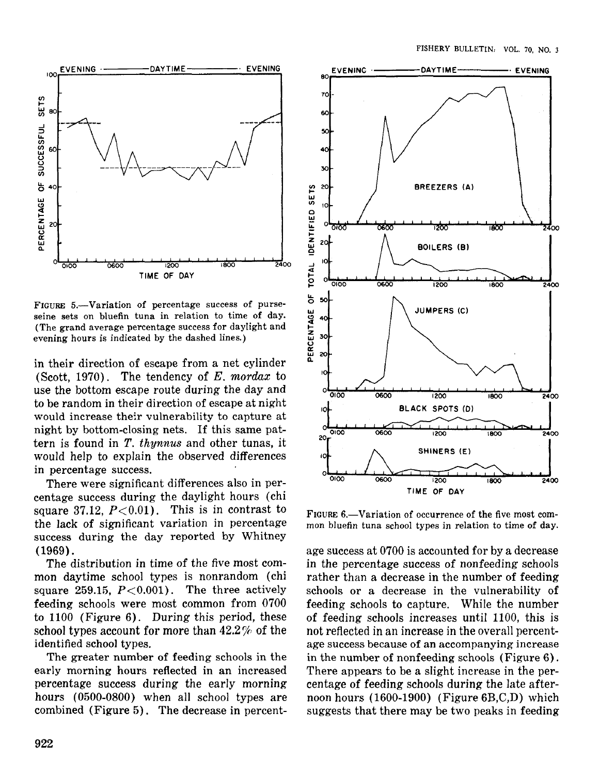

FIGURE 5.—Variation of percentage success of purseseine sets on bluefin tuna in relation to time of day. (The grand average percentage success for daylight and evening hours is indicated by the dashed lines.)

in their direction of escape from a net cylinder (Scott, 1970). The tendency of  $E$ , mordax to use the bottom escape route during the day and to be random in their direction of escape at night would increase their vulnerability to capture at night by bottom-closing nets. If this same pattern is found in  $T$ . thynnus and other tunas, it would help to explain the observed differences in percentage success.

There were significant differences also in percentage success during the daylight hours (chi square 37.12,  $P<0.01$ ). This is in contrast to the lack of significant variation in percentage success during the day reported by Whitney  $(1969).$ 

The distribution in time of the five most common daytime school types is nonrandom (chi square 259.15,  $P < 0.001$ ). The three actively feeding schools were most common from 0700 to  $1100$  (Figure 6). During this period, these school types account for more than  $42.2\%$  of the identified school types.

The greater number of feeding schools in the early morning hours reflected in an increased percentage success during the early morning hours (0500-0800) when all school types are combined (Figure 5). The decrease in percent-



FIGURE 6.—Variation of occurrence of the five most common bluefin tuna school types in relation to time of day.

age success at 0700 is accounted for by a decrease in the percentage success of nonfeeding schools rather than a decrease in the number of feeding schools or a decrease in the vulnerability of feeding schools to capture. While the number of feeding schools increases until 1100, this is not reflected in an increase in the overall percentage success because of an accompanying increase in the number of nonfeeding schools (Figure 6). There appears to be a slight increase in the percentage of feeding schools during the late afternoon hours (1600-1900) (Figure 6B,C,D) which suggests that there may be two peaks in feeding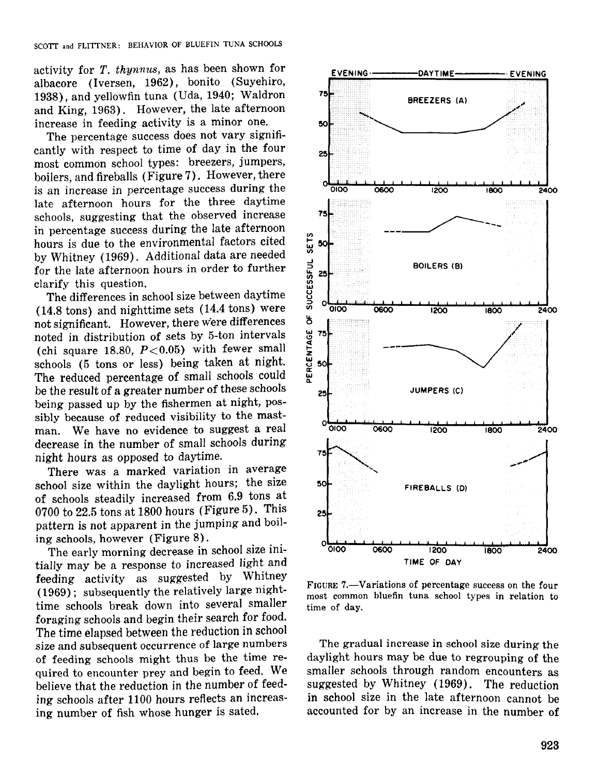activity for *T. thynnus,* as has been shown for albacore (Iversen, 1962), bonito (Suyehiro, 1938), and yellowfin tuna (Uda, 1940; Waldron and King, 1963). However, the late afternoon increase in feeding activity is a minor one.

The percentage success does not vary significantly with respect to time of day in the four most common school types: breezers, jumpers, boilers, and fireballs (Figure 7). However, there is an increase in percentage success during the late afternoon hours for the three daytime schools, suggesting that the observed increase in percentage success during the late afternoon hours is due to the environmental factors cited by Whitney (1969). Additional data are needed for the late afternoon hours in order to further clarify this question.

The differences in school size between daytime (14.8 tons) and nighttime sets (14.4 tons) were not significant. However, there were differences noted in distribution of sets by 5-ton intervals (chi square 18.80,  $P < 0.05$ ) with fewer small schools (5 tons or less) being taken at night. The reduced percentage of small schools could be the result of a greater number of these schools being passed up by the fishermen at night, possibly because of reduced visibility to the mastman. We have no evidence to suggest a real decrease in the number of small schools during night hours as opposed to daytime.

There was a marked variation in average school size within the daylight hours; the size of schools steadily increased from 6.9 tons at 0700 to 22.5 tons at 1800 hours (Figure 5). This pattern is not apparent in the jumping and boiling schools, however (Figure 8) .

The early morning decrease in school size initially may be a response to increased light and feeding activity as suggested by Whitney (1969); subsequently the relatively large nighttime schools break down into several smaller foraging schools and begin their search for food. The time elapsed between the reduction in school size and subsequent occurrence of large numbers of feeding schools might thus be the time required to encounter prey and begin to feed. We believe that the reduction in the number of feeding schools after 1100 hours reflects an increasing number of fish whose hunger is sated.



FIGURE 7.-Variations of percentage success on the four most common bluefin tuna school types in relation to time of day.

The gradual increase in school size during the daylight hours may be due to regrouping of the smaller schools through random encounters as suggested by Whitney (1969). The reduction in school size in the late afternoon cannot be accounted for by an increase in the number of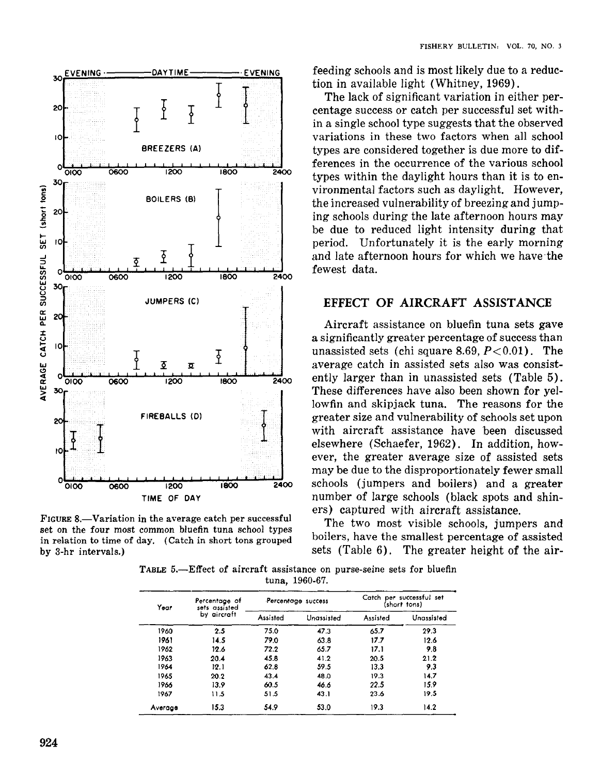

FIGURE 8.—Variation in the average catch per successful set on the four most common bluefin tuna school types in relation to time of day. (Catch in short tons grouped by 3-hr intervals.)

feeding schools and is most likely due to a reduction in available light (Whitney, 1969).

The lack of significant variation in either percentage success or catch per successful set within a single school type suggests that the observed variations in these two factors when all school types are considered together is due more to differences in the occurrence of the various school types within the daylight hours than it is to environmental factors such as daylight. However, the increased vulnerability of breezing and jumping schools during the late afternoon hours may be due to reduced light intensity during that period. Unfortunately it is the early morning and late afternoon hours for which we have the fewest data.

#### EFFECT OF AIRCRAFT ASSISTANCE

Aircraft assistance on bluefin tuna sets gave a significantly greater percentage of success than unassisted sets (chi square 8.69,  $P < 0.01$ ). The average catch in assisted sets also was consistently larger than in unassisted sets (Table 5). These differences have also been shown for yellowfin and skipjack tuna. The reasons for the greater size and vulnerability of schools set upon with aircraft assistance have been discussed elsewhere (Schaefer, 1962). In addition, however, the greater average size of assisted sets may be due to the disproportionately fewer small schools (jumpers and boilers) and a greater number of large schools (black spots and shiners) captured with aircraft assistance.

The two most visible schools, jumpers and boilers, have the smallest percentage of assisted sets (Table 6). The greater height of the air-

TABLE 5.-Effect of aircraft assistance on purse-seine sets for bluefin tuna, 1960-67.

| Year    | Percentage of<br>sets assisted |          | Percentage success | Catch per successful set<br>(short tons) |            |  |
|---------|--------------------------------|----------|--------------------|------------------------------------------|------------|--|
|         | by aircraft                    | Assisted | Unassisted         | Assisted                                 | Unassisted |  |
| 1960    | 2.5                            | 75.0     | 47.3               | 65.7                                     | 29.3       |  |
| 1961    | 14.5                           | 79.0     | 63.8               | 17.7                                     | 12.6       |  |
| 1962    | 12.6                           | 72.2     | 65.7               | 17.1                                     | 9.8        |  |
| 1963    | 20.4                           | 45.8     | 41.2               | 20.5                                     | 21.2       |  |
| 1964    | 12.1                           | 62.8     | 59.5               | 13.3                                     | 93         |  |
| 1965    | 20.2                           | 43.4     | 48.0               | 19.3                                     | 14.7       |  |
| 1966    | 13.9                           | 60.5     | 46.6               | 22.5                                     | 15.9       |  |
| 1967    | 11.5                           | 51.5     | 43.1               | 23.6                                     | 19.5       |  |
| Average | 15.3                           | 54.9     | 53.0               | 19.3                                     | 14.2       |  |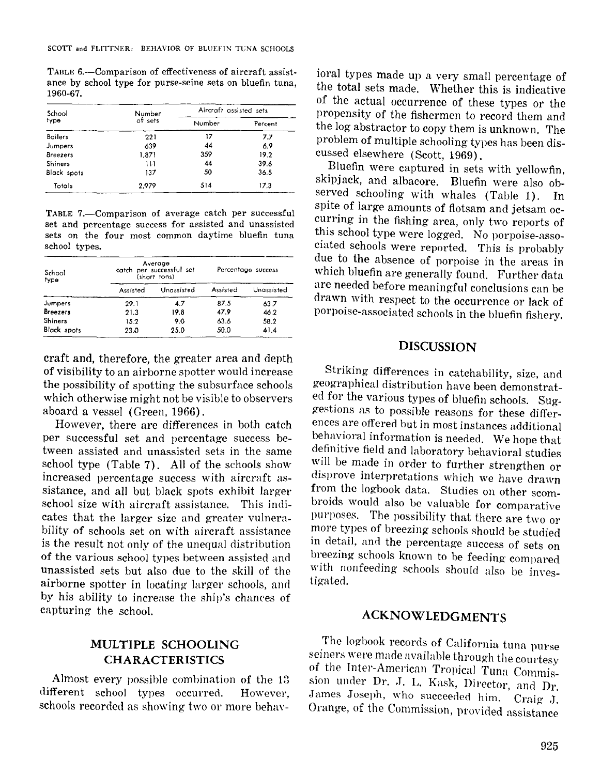TABLE 6.—Comparison of effectiveness of aircraft assistance by school type for purse-seine sets on bluefin tuna, 1960-67.

| School          | Number  | Aircraft assisted sets |         |  |
|-----------------|---------|------------------------|---------|--|
| type            | of sets | Number                 | Percent |  |
| <b>Boilers</b>  | 221     | 17                     | 7.7     |  |
| Jumpers         | 639     | 44                     | 6.9     |  |
| <b>Breezers</b> | 1,871   | 359                    | 19.2    |  |
| Shiners         | 111     | 44                     | 39.6    |  |
| Black spots     | 137     | 50                     | 36.5    |  |
| Totals          | 2.979   | 514                    | 17.3    |  |

TABLE 7.-Comparison of average catch per successful set and percentage success for assisted and unassisted sets on the four most common daytime bluefin tuna school types.

| School<br>type     |          | Average<br>catch per successful set<br>(short tons) | Percentage success |            |  |
|--------------------|----------|-----------------------------------------------------|--------------------|------------|--|
|                    | Assisted | Unassisted                                          | Assisted           | Unassisted |  |
| Jumpers            | 29.1     | 4.7                                                 | 87.5               | 63.7       |  |
| <b>Breezers</b>    | 21.3     | 19.8                                                | 47.9               | 46.2       |  |
| Shiners            | 15.2     | 9.0                                                 | 63.6               | 58.2       |  |
| <b>Black spots</b> | 23.0     | 25.0                                                | 50.0               | 41.4       |  |

craft and, therefore, the greater area and depth of visibility to an airborne spotter would increase the possibility of spotting the subsurface schools which otherwise might not be visible to observers aboard a vessel (Green, 1966).

However, there are differences in both catch per successful set and percentage success between assisted and unassisted sets in the same school type (Table 7). All of the schools show increased percentage success with aircraft assistance, and all but black spots exhibit larger school size with aircraft assistance. This indicates that the larger size and greater vulnerability of schools set on with aircraft assistance is the result not only of the unequal distribution of the various school types between assisted and unassisted sets but also due to the skill of the airborne spotter in locating larger schools, and by his ability to increase the ship's chances of capturing the school.

## MULTIPLE SCHOOLING CHARACTERISTICS

Almost every possible combination of the 13 different school types occurred. However, schools recorded as showing two or more behavioral types made up a very small percentage of the total sets made. Whether this is indicative of the actual occurrence of these types or the propensity of the fishermen to record them and the log abstractor to copy them is unknown. The problem of multiple schooling types has been discussed elsewhere (Scott, 1969),

Bluefin were captured in sets with yellowfin, skipjack, and albacore. Bluefin were also observed schooling with whales (Table 1). In spite of large amounts of flotsam and jetsam occurring in the fishing area, only two reports of this school type were logged. No porpoise-associated schools were reported. This is probably due to the absence of porpoise in the areas in which bluefin are generally found. Further data are needed before meaningful conclusions can be drawn with respect to the occurrence or lack of porpoise-associated schools in the bluefin fishery.

## DISCUSSION

Striking differences in catchability, size, and geographical distribution have been demonstrated for the various types of bluefin schools. Suggestions as to possible reasons for these differences are offered but in most instances additional behavioral information is needed. We hope that definitive field and laboratory behavioral studies will be made in order to further strengthen or disprove interpretations which we have drawn from the logbook data. Studies on other scombroids would also be valuable for comparative purposes. The possibility that there are two or more types of breezing schools should be studied in detail, and the percentage success of sets on breezing schools known to be feeding compared with nonfeeding schools should also be investigated.

## ACKNOWLEDGMENTS

The log'book records of California tuna purse seiners were made available through the courtesy of the Inter-American Tropical Tuna Commission under Dr. J. L. Kask, Director, and Dr. James Joseph, who succeeded him. Craig J. Orange, of the Commission, provided assistance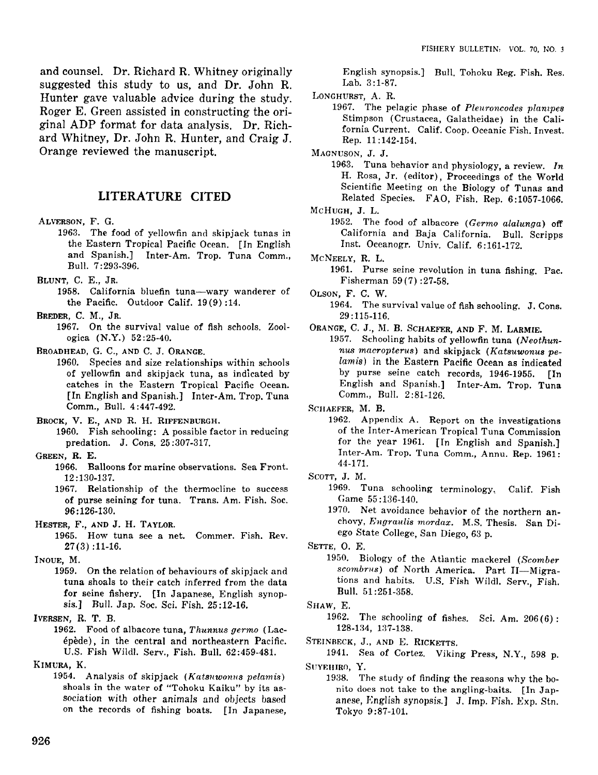and counsel. Dr. Richard R. Whitney originally suggested this study to us, and Dr. John R. Hunter gave valuable advice during the study. Roger E. Green assisted in constructing the original ADP format for data analysis. Dr. Richard Whitney, Dr. John R. Hunter, and Craig J. Orange reviewed the manuscript.

#### **LITERATURE CITED**

- ALVERSON, F. G.
	- 1963. The food of yellowfin and skipjack tunas in the Eastern Tropical Pacific Ocean. [In English and Spanish.] Inter-Am. Trop. Tuna Comm., Bull. 7: 293-396.
- BLUNT, C. E., JR.
	- 1958. California bluefin tuna-wary wanderer of the Pacific. Outdoor Calif. 19 (9) :14.
- BREnER, C. M., JR.
	- 1967. On the survival value of fish schools. Zoologica (N.Y.) 52:25-40.
- BROADHEAD, G. C., AND C. J. ORANGE.
	- 1960. Species and size relationships within schools of yellowfin and skipjack tuna, as indicated by catches in the Eastern Tropical Pacific Ocean. [In English and Spanish.] Inter-Am. Trop. Tuna Comm., Bull. 4 :447-492.
- BROCK, V. E., AND R. H. RIFFENBURGH.
- 1960. Fish schooling: A possible factor in reducing predation. J. Cons. 25 :307-317.
- GREEN, R. E.
	- 1966. Balloons for marine observations. Sea Front. 12: 130-137.
	- 1967. Relationship of the thermocline to success of purse seining for tuna. Trans. Am. Fish. Soc. 96: 126-130.
- HESTER, F., AND J. H. TAYLOR.
	- 1965. How tuna see a net. Commer. Fish. Rev. 27(3) :11-16.
- INOUE, M.
	- 1959. On the relation of behaviours of skipjack and tuna shoals to their catch inferred from the data for seine fishery. [In Japanese, English synopsis.] Bull. Jap. Soc. Sci. Fish. 25:12-16.
- IVERSEN, R. T. B.
	- 1962. Food of albacore tuna, *Thunnus germo* (Lacepede), in the central and northeastern Pacific. U.S. Fish Wildl. Serv., Fish. Bull. 62 :459-481.
- KIMURA, K.
	- 1954. Analysis of skipjack *(KatBuwonuB pelamis)* shoals in the water of "Tohoku Kaiku" by its as*sociation* with other animals and objects based on the records of fishing boats. [In Japanese,

English synopsis.] Bull. Tohoku Reg. Fish. Res. Lab. 3:1-87.

- LONGHURST, A. R.
	- 1967. The pelagic phase of *Pleuroncodcs plampcB* Stimpson (Crustacea, Galatheidae) in the California Current. Calif. Coop. Oceanic Fish. Invest. Rep. 11 :142-154.

MAGNUSON, J. J.

- 1963. Tuna behavior and physiology, a review. *In* H. Rosa, Jr. (editor), Proceedings of the World Scientific Meeting on the Biology of Tunas and Related Species. FAO, Fish. Rep. 6:1057-1066.
- McHUGH, J. L.
	- 1952. The food of albacore *(Germo alalunga)* off California and Baja California. Bull. Scripps Inst. Oceanogr. Univ. Calif. 6:161-172.
- McNEELY, R. L. 1961. Purse seine revolution in tuna fishing. Pac. Fisherman 59(7) :27-58.
- OLSON, F. C. W.
	- 1964. The survival value of fish schooling. J. Cons. 29: 115-116.
- ORANGE, C. J., M. B. SCHAEFER, AND F. M. LARMIE.
	- 1957. Schooling habits of yellowfin tuna *(Neothun* $nus$   $macroterus$ ) and skipjack (Katsuwonus pe*lamis)* in the Eastern Pacific Ocean as indicated by purse seine catch records, 1946-1955. [In English and Spanish.] Inter-Am. Trop. Tuna Comm., Bull. 2 :81-126.

SCHAEFER, M. B.

- 1962. Appendix A. Report on the investigations of the Inter-American Tropical Tuna Commission for the year 1961. [In English and Spanish.] Inter-Am. Trop. Tuna Comm., Annu. Rep. 1961: 44-171.
- SCOTT, J. M.
	- 1969. Tuna schooling terminology.. Calif. Fish Game 55: 136-140.
	- 1970. Net avoidance behavior of the northern anchovy, *Engraulis mordax.* M.S. Thesis. San Diego State College, San Diego, 63 p.

SETTE, O. E.

- 1950. Biology of the Atlantic mackerel *(Scomber scombrus)* of North America. Part II-Migrations and habits. U.S. Fish Wildl. Serv., Fish. Bull. 51 :251-358.
- SHAW, E.
	- 1962. The schooling of fishes. Sci. Am.  $206(6)$ : 128-134, 137-138.
- STEINBECK, J., AND E. RICKETTS.

1941. Sea of Cortez. Viking Press, N.Y., 598 p. SUYEHIRO, Y.

1938. The study of finding the reasons why the bonito does not take to the angling-baits. [In Japanese, English synopsis.] J. Imp. Fish. Exp. Stn. Tokyo 9:87-101.